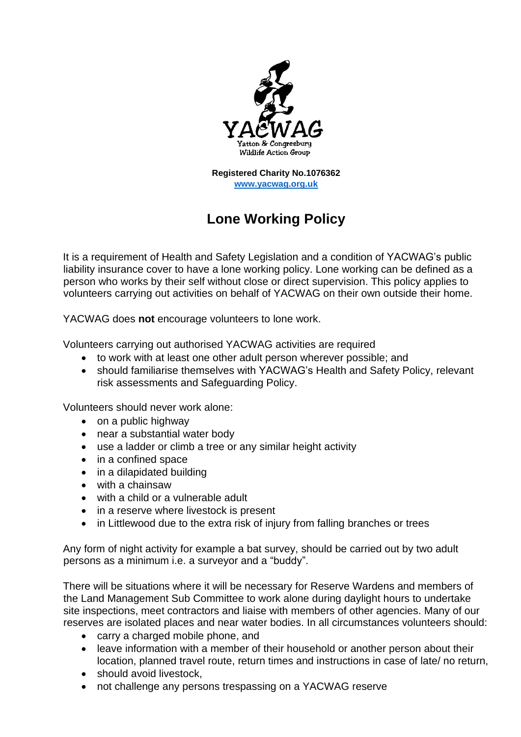

**Registered Charity No.1076362 [www.yacwag.org.uk](http://www.yacwag.org.uk/)**

## **Lone Working Policy**

It is a requirement of Health and Safety Legislation and a condition of YACWAG's public liability insurance cover to have a lone working policy. Lone working can be defined as a person who works by their self without close or direct supervision. This policy applies to volunteers carrying out activities on behalf of YACWAG on their own outside their home.

YACWAG does **not** encourage volunteers to lone work.

Volunteers carrying out authorised YACWAG activities are required

- to work with at least one other adult person wherever possible; and
- should familiarise themselves with YACWAG's Health and Safety Policy, relevant risk assessments and Safeguarding Policy.

Volunteers should never work alone:

- on a public highway
- near a substantial water body
- use a ladder or climb a tree or any similar height activity
- in a confined space
- in a dilapidated building
- with a chainsaw
- with a child or a vulnerable adult
- in a reserve where livestock is present
- in Littlewood due to the extra risk of injury from falling branches or trees

Any form of night activity for example a bat survey, should be carried out by two adult persons as a minimum i.e. a surveyor and a "buddy".

There will be situations where it will be necessary for Reserve Wardens and members of the Land Management Sub Committee to work alone during daylight hours to undertake site inspections, meet contractors and liaise with members of other agencies. Many of our reserves are isolated places and near water bodies. In all circumstances volunteers should:

- carry a charged mobile phone, and
- leave information with a member of their household or another person about their location, planned travel route, return times and instructions in case of late/ no return,
- should avoid livestock,
- not challenge any persons trespassing on a YACWAG reserve